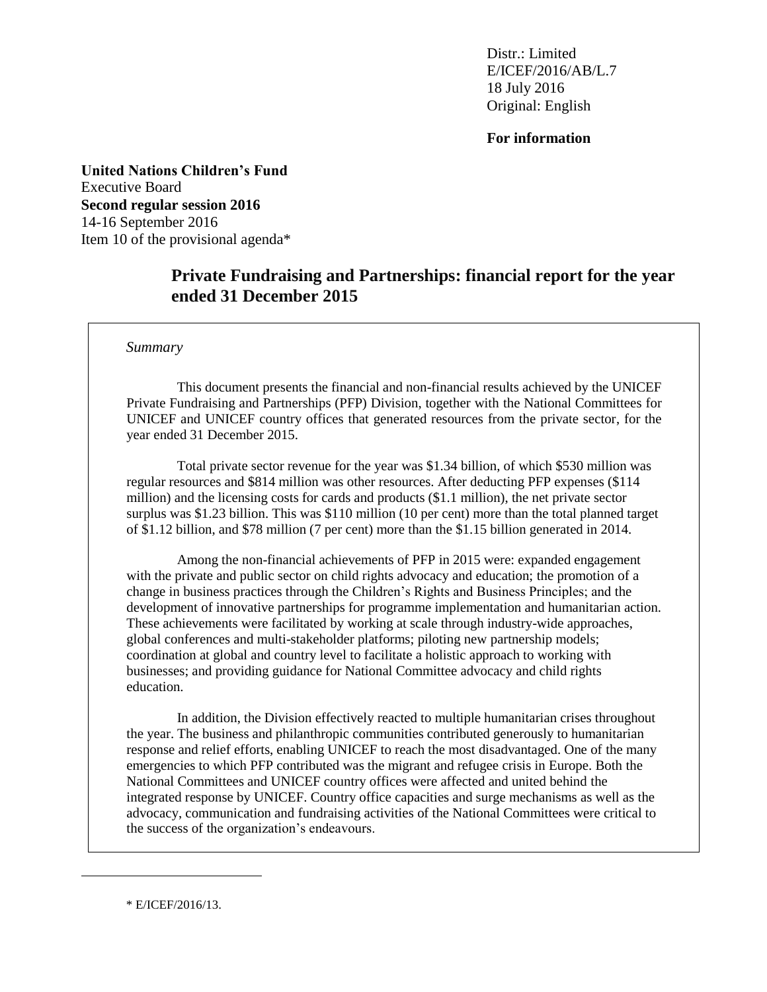Distr.: Limited E/ICEF/2016/AB/L.7 18 July 2016 Original: English

**For information**

**United Nations Children's Fund** Executive Board **Second regular session 2016** 14-16 September 2016 Item 10 of the provisional agenda\*

# **Private Fundraising and Partnerships: financial report for the year ended 31 December 2015**

#### *Summary*

This document presents the financial and non-financial results achieved by the UNICEF Private Fundraising and Partnerships (PFP) Division, together with the National Committees for UNICEF and UNICEF country offices that generated resources from the private sector, for the year ended 31 December 2015.

Total private sector revenue for the year was \$1.34 billion, of which \$530 million was regular resources and \$814 million was other resources. After deducting PFP expenses (\$114 million) and the licensing costs for cards and products (\$1.1 million), the net private sector surplus was \$1.23 billion. This was \$110 million (10 per cent) more than the total planned target of \$1.12 billion, and \$78 million (7 per cent) more than the \$1.15 billion generated in 2014.

Among the non-financial achievements of PFP in 2015 were: expanded engagement with the private and public sector on child rights advocacy and education; the promotion of a change in business practices through the Children's Rights and Business Principles; and the development of innovative partnerships for programme implementation and humanitarian action. These achievements were facilitated by working at scale through industry-wide approaches, global conferences and multi-stakeholder platforms; piloting new partnership models; coordination at global and country level to facilitate a holistic approach to working with businesses; and providing guidance for National Committee advocacy and child rights education.

In addition, the Division effectively reacted to multiple humanitarian crises throughout the year. The business and philanthropic communities contributed generously to humanitarian response and relief efforts, enabling UNICEF to reach the most disadvantaged. One of the many emergencies to which PFP contributed was the migrant and refugee crisis in Europe. Both the National Committees and UNICEF country offices were affected and united behind the integrated response by UNICEF. Country office capacities and surge mechanisms as well as the advocacy, communication and fundraising activities of the National Committees were critical to the success of the organization's endeavours.

\* E/ICEF/2016/13.

 $\overline{a}$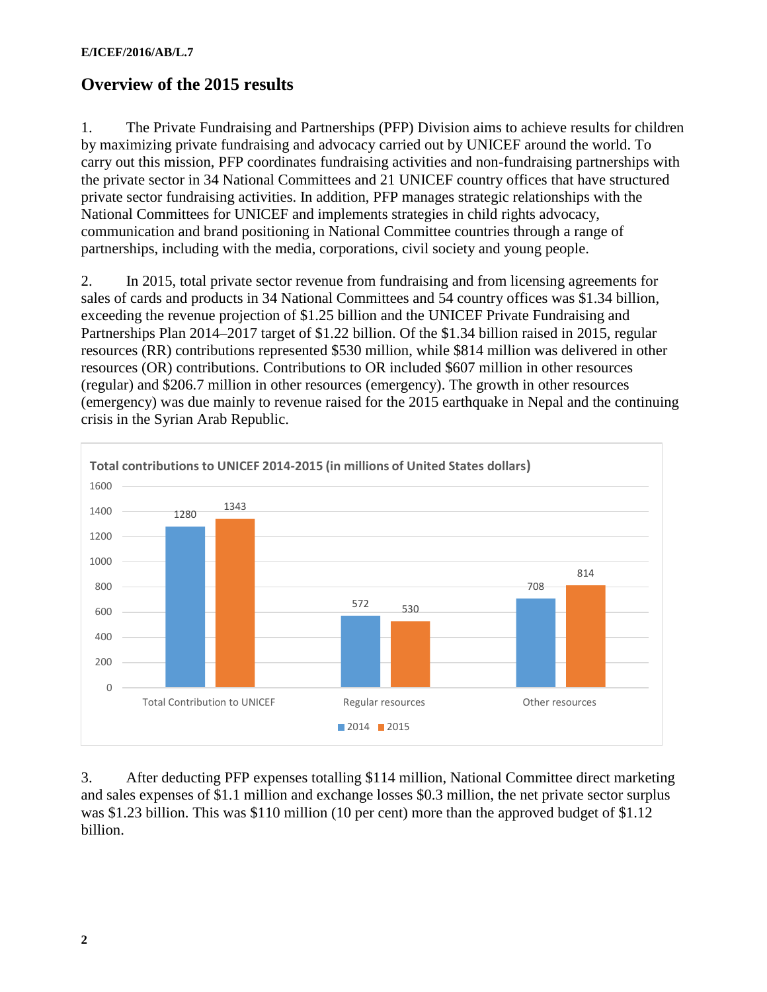# **Overview of the 2015 results**

1. The Private Fundraising and Partnerships (PFP) Division aims to achieve results for children by maximizing private fundraising and advocacy carried out by UNICEF around the world. To carry out this mission, PFP coordinates fundraising activities and non-fundraising partnerships with the private sector in 34 National Committees and 21 UNICEF country offices that have structured private sector fundraising activities. In addition, PFP manages strategic relationships with the National Committees for UNICEF and implements strategies in child rights advocacy, communication and brand positioning in National Committee countries through a range of partnerships, including with the media, corporations, civil society and young people.

2. In 2015, total private sector revenue from fundraising and from licensing agreements for sales of cards and products in 34 National Committees and 54 country offices was \$1.34 billion, exceeding the revenue projection of \$1.25 billion and the UNICEF Private Fundraising and Partnerships Plan 2014–2017 target of \$1.22 billion. Of the \$1.34 billion raised in 2015, regular resources (RR) contributions represented \$530 million, while \$814 million was delivered in other resources (OR) contributions. Contributions to OR included \$607 million in other resources (regular) and \$206.7 million in other resources (emergency). The growth in other resources (emergency) was due mainly to revenue raised for the 2015 earthquake in Nepal and the continuing crisis in the Syrian Arab Republic.



3. After deducting PFP expenses totalling \$114 million, National Committee direct marketing and sales expenses of \$1.1 million and exchange losses \$0.3 million, the net private sector surplus was \$1.23 billion. This was \$110 million (10 per cent) more than the approved budget of \$1.12 billion.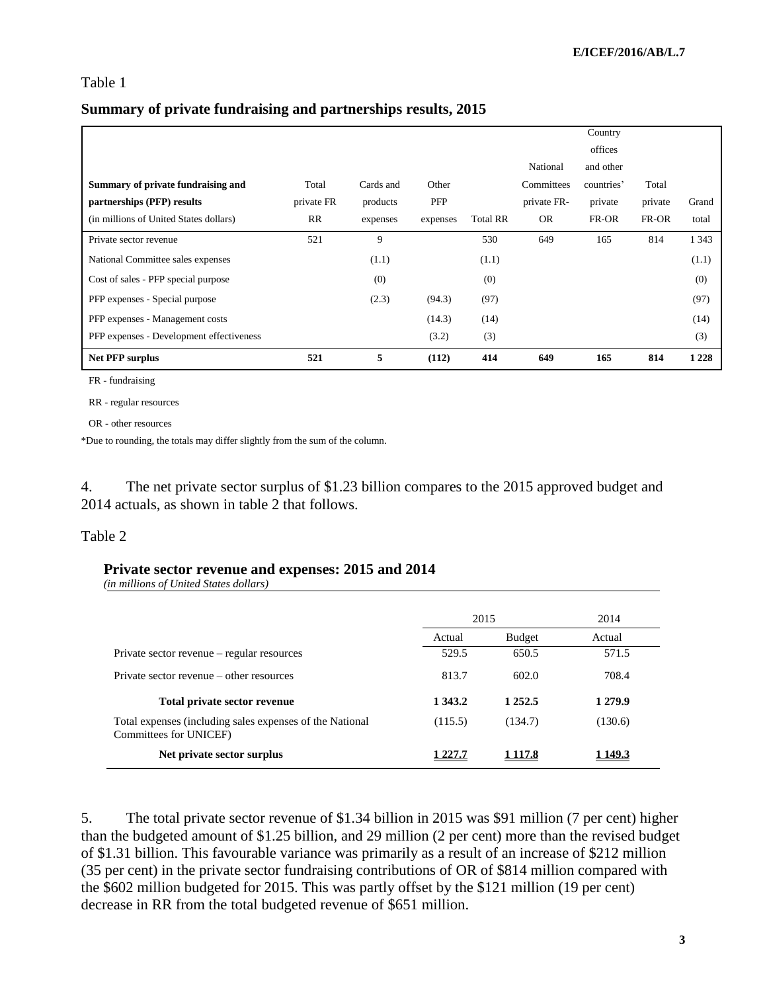#### Table 1

#### **Summary of private fundraising and partnerships results, 2015**

|                                          |            |           |          |                 |             | Country    |         |         |
|------------------------------------------|------------|-----------|----------|-----------------|-------------|------------|---------|---------|
|                                          |            |           |          |                 |             | offices    |         |         |
|                                          |            |           |          |                 | National    | and other  |         |         |
| Summary of private fundraising and       | Total      | Cards and | Other    |                 | Committees  | countries' | Total   |         |
| partnerships (PFP) results               | private FR | products  | PFP      |                 | private FR- | private    | private | Grand   |
| (in millions of United States dollars)   | RR         | expenses  | expenses | <b>Total RR</b> | <b>OR</b>   | FR-OR      | FR-OR   | total   |
| Private sector revenue                   | 521        | 9         |          | 530             | 649         | 165        | 814     | 1 3 4 3 |
| National Committee sales expenses        |            | (1.1)     |          | (1.1)           |             |            |         | (1.1)   |
| Cost of sales - PFP special purpose      |            | (0)       |          | (0)             |             |            |         | (0)     |
| PFP expenses - Special purpose           |            | (2.3)     | (94.3)   | (97)            |             |            |         | (97)    |
| PFP expenses - Management costs          |            |           | (14.3)   | (14)            |             |            |         | (14)    |
| PFP expenses - Development effectiveness |            |           | (3.2)    | (3)             |             |            |         | (3)     |
| <b>Net PFP surplus</b>                   | 521        | 5         | (112)    | 414             | 649         | 165        | 814     | 1 2 2 8 |

FR - fundraising

RR - regular resources

OR - other resources

\*Due to rounding, the totals may differ slightly from the sum of the column.

4. The net private sector surplus of \$1.23 billion compares to the 2015 approved budget and 2014 actuals, as shown in table 2 that follows.

#### Table 2

#### **Private sector revenue and expenses: 2015 and 2014**

*(in millions of United States dollars)*

|                                                                                    | 2015       |               | 2014    |  |  |
|------------------------------------------------------------------------------------|------------|---------------|---------|--|--|
|                                                                                    | Actual     | <b>Budget</b> | Actual  |  |  |
| Private sector revenue – regular resources                                         | 529.5      | 650.5         | 571.5   |  |  |
| Private sector revenue – other resources                                           | 813.7      | 602.0         | 708.4   |  |  |
| Total private sector revenue                                                       | 1 3 4 3 .2 | 1 2 5 2 .5    | 1 279.9 |  |  |
| Total expenses (including sales expenses of the National<br>Committees for UNICEF) | (115.5)    | (134.7)       | (130.6) |  |  |
| Net private sector surplus                                                         |            | <b>117.8</b>  | -149.3  |  |  |

5. The total private sector revenue of \$1.34 billion in 2015 was \$91 million (7 per cent) higher than the budgeted amount of \$1.25 billion, and 29 million (2 per cent) more than the revised budget of \$1.31 billion. This favourable variance was primarily as a result of an increase of \$212 million (35 per cent) in the private sector fundraising contributions of OR of \$814 million compared with the \$602 million budgeted for 2015. This was partly offset by the \$121 million (19 per cent) decrease in RR from the total budgeted revenue of \$651 million.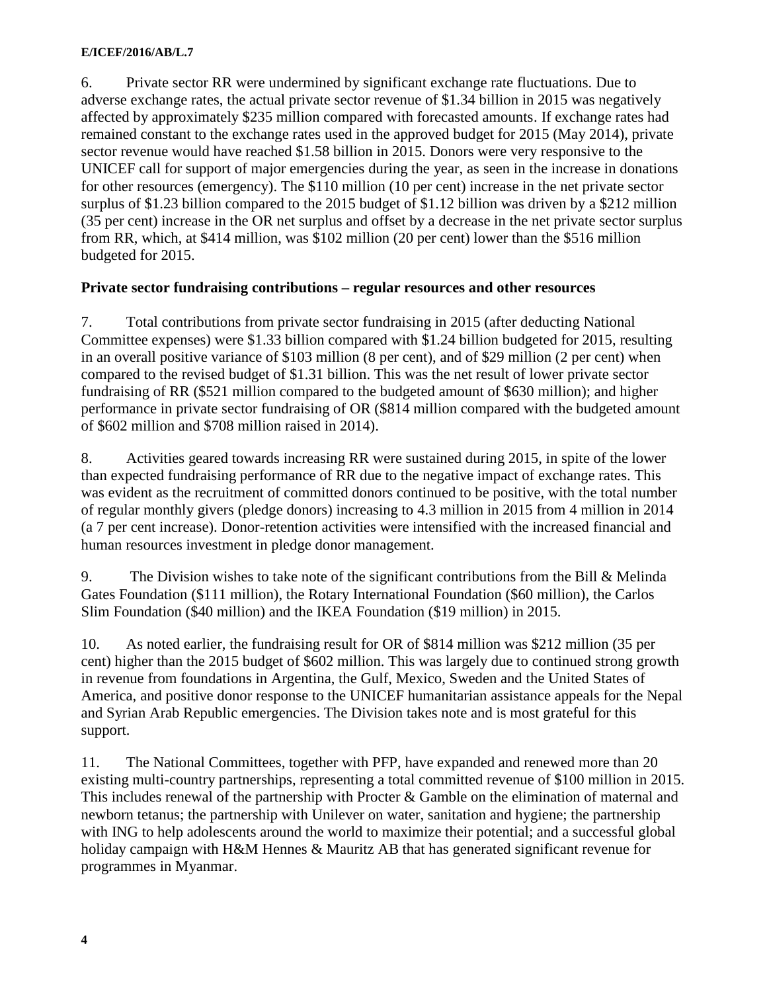6. Private sector RR were undermined by significant exchange rate fluctuations. Due to adverse exchange rates, the actual private sector revenue of \$1.34 billion in 2015 was negatively affected by approximately \$235 million compared with forecasted amounts. If exchange rates had remained constant to the exchange rates used in the approved budget for 2015 (May 2014), private sector revenue would have reached \$1.58 billion in 2015. Donors were very responsive to the UNICEF call for support of major emergencies during the year, as seen in the increase in donations for other resources (emergency). The \$110 million (10 per cent) increase in the net private sector surplus of \$1.23 billion compared to the 2015 budget of \$1.12 billion was driven by a \$212 million (35 per cent) increase in the OR net surplus and offset by a decrease in the net private sector surplus from RR, which, at \$414 million, was \$102 million (20 per cent) lower than the \$516 million budgeted for 2015.

### **Private sector fundraising contributions – regular resources and other resources**

7. Total contributions from private sector fundraising in 2015 (after deducting National Committee expenses) were \$1.33 billion compared with \$1.24 billion budgeted for 2015, resulting in an overall positive variance of \$103 million (8 per cent), and of \$29 million (2 per cent) when compared to the revised budget of \$1.31 billion. This was the net result of lower private sector fundraising of RR (\$521 million compared to the budgeted amount of \$630 million); and higher performance in private sector fundraising of OR (\$814 million compared with the budgeted amount of \$602 million and \$708 million raised in 2014).

8. Activities geared towards increasing RR were sustained during 2015, in spite of the lower than expected fundraising performance of RR due to the negative impact of exchange rates. This was evident as the recruitment of committed donors continued to be positive, with the total number of regular monthly givers (pledge donors) increasing to 4.3 million in 2015 from 4 million in 2014 (a 7 per cent increase). Donor-retention activities were intensified with the increased financial and human resources investment in pledge donor management.

9. The Division wishes to take note of the significant contributions from the Bill & Melinda Gates Foundation (\$111 million), the Rotary International Foundation (\$60 million), the Carlos Slim Foundation (\$40 million) and the IKEA Foundation (\$19 million) in 2015.

10. As noted earlier, the fundraising result for OR of \$814 million was \$212 million (35 per cent) higher than the 2015 budget of \$602 million. This was largely due to continued strong growth in revenue from foundations in Argentina, the Gulf, Mexico, Sweden and the United States of America, and positive donor response to the UNICEF humanitarian assistance appeals for the Nepal and Syrian Arab Republic emergencies. The Division takes note and is most grateful for this support.

11. The National Committees, together with PFP, have expanded and renewed more than 20 existing multi-country partnerships, representing a total committed revenue of \$100 million in 2015. This includes renewal of the partnership with Procter & Gamble on the elimination of maternal and newborn tetanus; the partnership with Unilever on water, sanitation and hygiene; the partnership with ING to help adolescents around the world to maximize their potential; and a successful global holiday campaign with H&M Hennes & Mauritz AB that has generated significant revenue for programmes in Myanmar.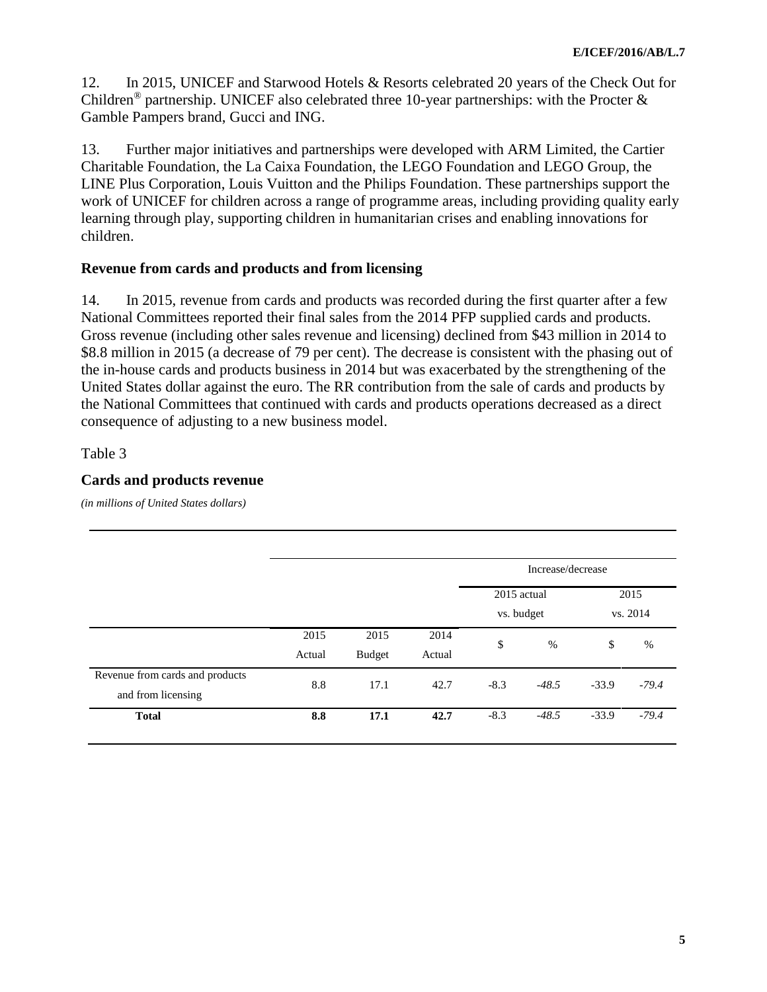12. In 2015, UNICEF and Starwood Hotels & Resorts celebrated 20 years of the Check Out for Children<sup>®</sup> partnership. UNICEF also celebrated three 10-year partnerships: with the Procter  $\&$ Gamble Pampers brand, Gucci and ING.

13. Further major initiatives and partnerships were developed with ARM Limited, the Cartier Charitable Foundation, the La Caixa Foundation, the LEGO Foundation and LEGO Group, the LINE Plus Corporation, Louis Vuitton and the Philips Foundation. These partnerships support the work of UNICEF for children across a range of programme areas, including providing quality early learning through play, supporting children in humanitarian crises and enabling innovations for children.

# **Revenue from cards and products and from licensing**

14. In 2015, revenue from cards and products was recorded during the first quarter after a few National Committees reported their final sales from the 2014 PFP supplied cards and products. Gross revenue (including other sales revenue and licensing) declined from \$43 million in 2014 to \$8.8 million in 2015 (a decrease of 79 per cent). The decrease is consistent with the phasing out of the in-house cards and products business in 2014 but was exacerbated by the strengthening of the United States dollar against the euro. The RR contribution from the sale of cards and products by the National Committees that continued with cards and products operations decreased as a direct consequence of adjusting to a new business model.

### Table 3

# **Cards and products revenue**

*(in millions of United States dollars)*

|                                 |        |               |        | Increase/decrease   |            |          |         |  |  |
|---------------------------------|--------|---------------|--------|---------------------|------------|----------|---------|--|--|
|                                 |        |               |        | 2015 actual<br>2015 |            |          |         |  |  |
|                                 |        |               |        |                     | vs. budget | vs. 2014 |         |  |  |
|                                 | 2015   | 2015          | 2014   |                     | %          | \$       | %       |  |  |
|                                 | Actual | <b>Budget</b> | Actual | \$                  |            |          |         |  |  |
| Revenue from cards and products | 8.8    | 17.1          | 42.7   | $-8.3$              | $-48.5$    | $-33.9$  | $-79.4$ |  |  |
| and from licensing              |        |               |        |                     |            |          |         |  |  |
| <b>Total</b>                    | 8.8    | 17.1          | 42.7   | $-8.3$              | $-48.5$    | $-33.9$  | $-79.4$ |  |  |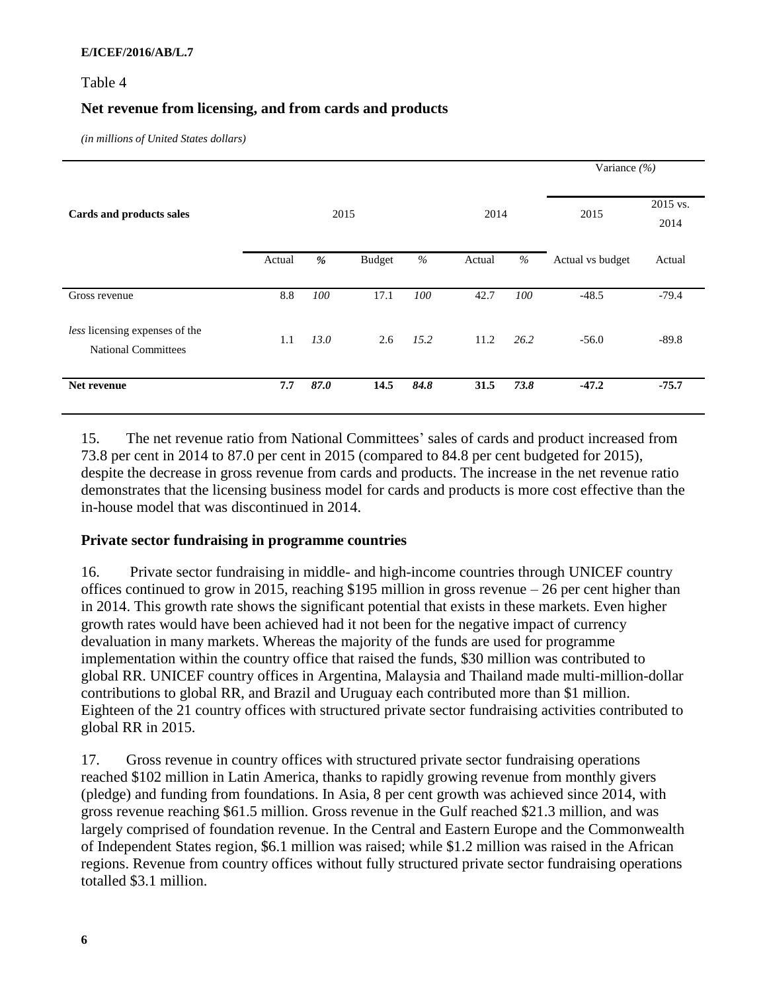### Table 4

# **Net revenue from licensing, and from cards and products**

*(in millions of United States dollars)*

|                                                              |        |      |               |      |        |      | Variance $(\% )$ |         |  |  |
|--------------------------------------------------------------|--------|------|---------------|------|--------|------|------------------|---------|--|--|
| Cards and products sales                                     |        | 2015 |               | 2014 |        | 2015 | 2015 vs.<br>2014 |         |  |  |
|                                                              | Actual | %    | <b>Budget</b> | $\%$ | Actual | $\%$ | Actual vs budget | Actual  |  |  |
| Gross revenue                                                | 8.8    | 100  | 17.1          | 100  | 42.7   | 100  | $-48.5$          | $-79.4$ |  |  |
| less licensing expenses of the<br><b>National Committees</b> | 1.1    | 13.0 | 2.6           | 15.2 | 11.2   | 26.2 | $-56.0$          | $-89.8$ |  |  |
| Net revenue                                                  | 7.7    | 87.0 | 14.5          | 84.8 | 31.5   | 73.8 | $-47.2$          | $-75.7$ |  |  |

15. The net revenue ratio from National Committees' sales of cards and product increased from 73.8 per cent in 2014 to 87.0 per cent in 2015 (compared to 84.8 per cent budgeted for 2015), despite the decrease in gross revenue from cards and products. The increase in the net revenue ratio demonstrates that the licensing business model for cards and products is more cost effective than the in-house model that was discontinued in 2014.

# **Private sector fundraising in programme countries**

16. Private sector fundraising in middle- and high-income countries through UNICEF country offices continued to grow in 2015, reaching \$195 million in gross revenue – 26 per cent higher than in 2014. This growth rate shows the significant potential that exists in these markets. Even higher growth rates would have been achieved had it not been for the negative impact of currency devaluation in many markets. Whereas the majority of the funds are used for programme implementation within the country office that raised the funds, \$30 million was contributed to global RR. UNICEF country offices in Argentina, Malaysia and Thailand made multi-million-dollar contributions to global RR, and Brazil and Uruguay each contributed more than \$1 million. Eighteen of the 21 country offices with structured private sector fundraising activities contributed to global RR in 2015.

17. Gross revenue in country offices with structured private sector fundraising operations reached \$102 million in Latin America, thanks to rapidly growing revenue from monthly givers (pledge) and funding from foundations. In Asia, 8 per cent growth was achieved since 2014, with gross revenue reaching \$61.5 million. Gross revenue in the Gulf reached \$21.3 million, and was largely comprised of foundation revenue. In the Central and Eastern Europe and the Commonwealth of Independent States region, \$6.1 million was raised; while \$1.2 million was raised in the African regions. Revenue from country offices without fully structured private sector fundraising operations totalled \$3.1 million.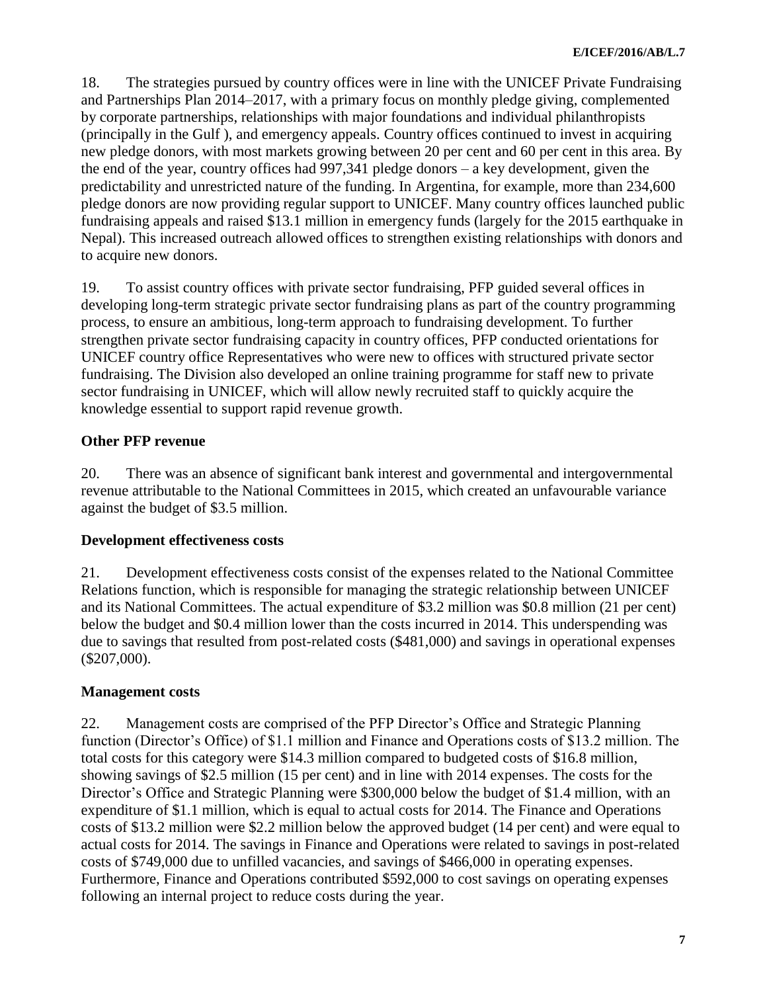18. The strategies pursued by country offices were in line with the UNICEF Private Fundraising and Partnerships Plan 2014–2017, with a primary focus on monthly pledge giving, complemented by corporate partnerships, relationships with major foundations and individual philanthropists (principally in the Gulf ), and emergency appeals. Country offices continued to invest in acquiring new pledge donors, with most markets growing between 20 per cent and 60 per cent in this area. By the end of the year, country offices had 997,341 pledge donors – a key development, given the predictability and unrestricted nature of the funding. In Argentina, for example, more than 234,600 pledge donors are now providing regular support to UNICEF. Many country offices launched public fundraising appeals and raised \$13.1 million in emergency funds (largely for the 2015 earthquake in Nepal). This increased outreach allowed offices to strengthen existing relationships with donors and to acquire new donors.

19. To assist country offices with private sector fundraising, PFP guided several offices in developing long-term strategic private sector fundraising plans as part of the country programming process, to ensure an ambitious, long-term approach to fundraising development. To further strengthen private sector fundraising capacity in country offices, PFP conducted orientations for UNICEF country office Representatives who were new to offices with structured private sector fundraising. The Division also developed an online training programme for staff new to private sector fundraising in UNICEF, which will allow newly recruited staff to quickly acquire the knowledge essential to support rapid revenue growth.

# **Other PFP revenue**

20. There was an absence of significant bank interest and governmental and intergovernmental revenue attributable to the National Committees in 2015, which created an unfavourable variance against the budget of \$3.5 million.

# **Development effectiveness costs**

21. Development effectiveness costs consist of the expenses related to the National Committee Relations function, which is responsible for managing the strategic relationship between UNICEF and its National Committees. The actual expenditure of \$3.2 million was \$0.8 million (21 per cent) below the budget and \$0.4 million lower than the costs incurred in 2014. This underspending was due to savings that resulted from post-related costs (\$481,000) and savings in operational expenses (\$207,000).

# **Management costs**

22. Management costs are comprised of the PFP Director's Office and Strategic Planning function (Director's Office) of \$1.1 million and Finance and Operations costs of \$13.2 million. The total costs for this category were \$14.3 million compared to budgeted costs of \$16.8 million, showing savings of \$2.5 million (15 per cent) and in line with 2014 expenses. The costs for the Director's Office and Strategic Planning were \$300,000 below the budget of \$1.4 million, with an expenditure of \$1.1 million, which is equal to actual costs for 2014. The Finance and Operations costs of \$13.2 million were \$2.2 million below the approved budget (14 per cent) and were equal to actual costs for 2014. The savings in Finance and Operations were related to savings in post-related costs of \$749,000 due to unfilled vacancies, and savings of \$466,000 in operating expenses. Furthermore, Finance and Operations contributed \$592,000 to cost savings on operating expenses following an internal project to reduce costs during the year.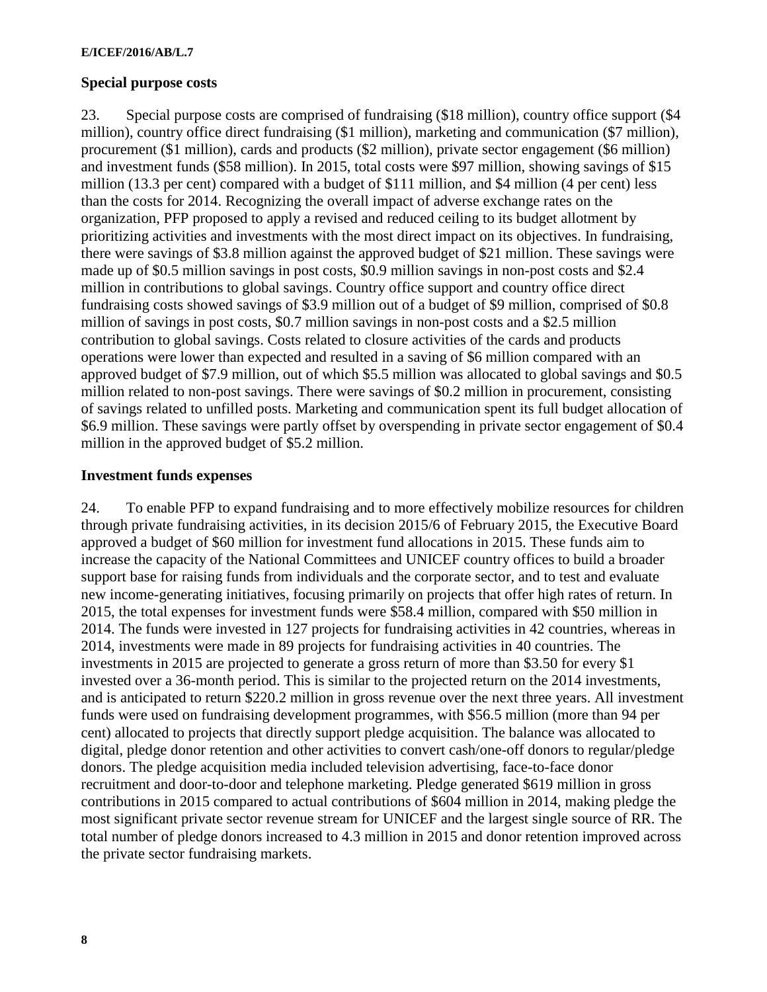#### **Special purpose costs**

23. Special purpose costs are comprised of fundraising (\$18 million), country office support (\$4 million), country office direct fundraising (\$1 million), marketing and communication (\$7 million), procurement (\$1 million), cards and products (\$2 million), private sector engagement (\$6 million) and investment funds (\$58 million). In 2015, total costs were \$97 million, showing savings of \$15 million (13.3 per cent) compared with a budget of \$111 million, and \$4 million (4 per cent) less than the costs for 2014. Recognizing the overall impact of adverse exchange rates on the organization, PFP proposed to apply a revised and reduced ceiling to its budget allotment by prioritizing activities and investments with the most direct impact on its objectives. In fundraising, there were savings of \$3.8 million against the approved budget of \$21 million. These savings were made up of \$0.5 million savings in post costs, \$0.9 million savings in non-post costs and \$2.4 million in contributions to global savings. Country office support and country office direct fundraising costs showed savings of \$3.9 million out of a budget of \$9 million, comprised of \$0.8 million of savings in post costs, \$0.7 million savings in non-post costs and a \$2.5 million contribution to global savings. Costs related to closure activities of the cards and products operations were lower than expected and resulted in a saving of \$6 million compared with an approved budget of \$7.9 million, out of which \$5.5 million was allocated to global savings and \$0.5 million related to non-post savings. There were savings of \$0.2 million in procurement, consisting of savings related to unfilled posts. Marketing and communication spent its full budget allocation of \$6.9 million. These savings were partly offset by overspending in private sector engagement of \$0.4 million in the approved budget of \$5.2 million.

#### **Investment funds expenses**

24. To enable PFP to expand fundraising and to more effectively mobilize resources for children through private fundraising activities, in its decision 2015/6 of February 2015, the Executive Board approved a budget of \$60 million for investment fund allocations in 2015. These funds aim to increase the capacity of the National Committees and UNICEF country offices to build a broader support base for raising funds from individuals and the corporate sector, and to test and evaluate new income-generating initiatives, focusing primarily on projects that offer high rates of return. In 2015, the total expenses for investment funds were \$58.4 million, compared with \$50 million in 2014. The funds were invested in 127 projects for fundraising activities in 42 countries, whereas in 2014, investments were made in 89 projects for fundraising activities in 40 countries. The investments in 2015 are projected to generate a gross return of more than \$3.50 for every \$1 invested over a 36-month period. This is similar to the projected return on the 2014 investments, and is anticipated to return \$220.2 million in gross revenue over the next three years. All investment funds were used on fundraising development programmes, with \$56.5 million (more than 94 per cent) allocated to projects that directly support pledge acquisition. The balance was allocated to digital, pledge donor retention and other activities to convert cash/one-off donors to regular/pledge donors. The pledge acquisition media included television advertising, face-to-face donor recruitment and door-to-door and telephone marketing. Pledge generated \$619 million in gross contributions in 2015 compared to actual contributions of \$604 million in 2014, making pledge the most significant private sector revenue stream for UNICEF and the largest single source of RR. The total number of pledge donors increased to 4.3 million in 2015 and donor retention improved across the private sector fundraising markets.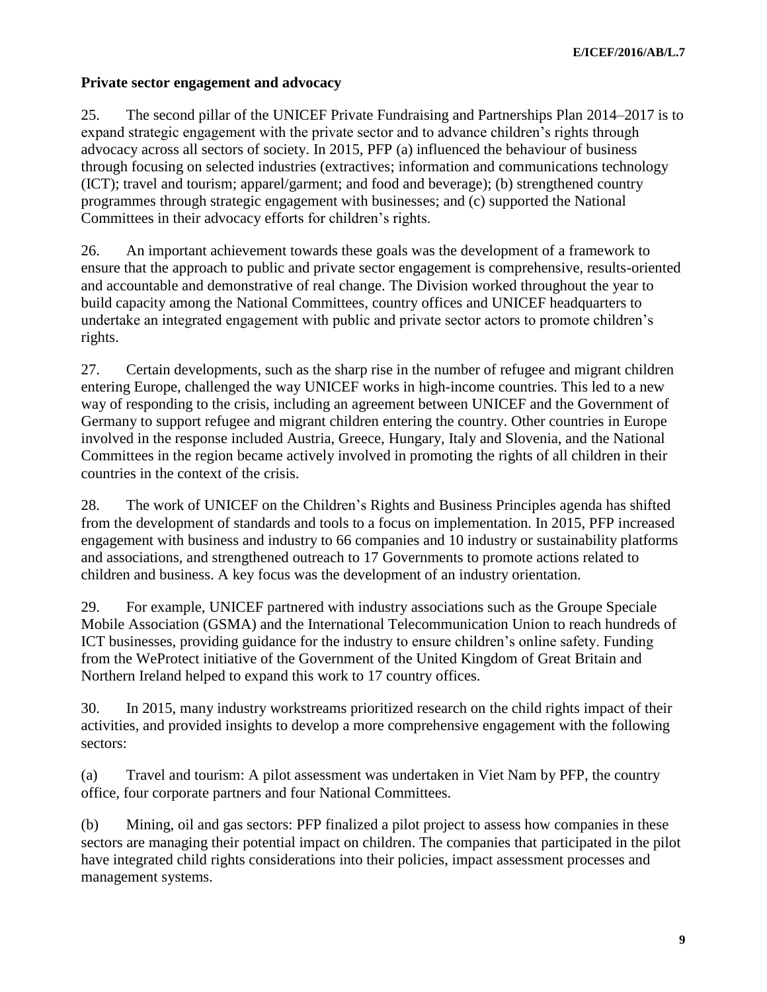# **Private sector engagement and advocacy**

25. The second pillar of the UNICEF Private Fundraising and Partnerships Plan 2014–2017 is to expand strategic engagement with the private sector and to advance children's rights through advocacy across all sectors of society. In 2015, PFP (a) influenced the behaviour of business through focusing on selected industries (extractives; information and communications technology (ICT); travel and tourism; apparel/garment; and food and beverage); (b) strengthened country programmes through strategic engagement with businesses; and (c) supported the National Committees in their advocacy efforts for children's rights.

26. An important achievement towards these goals was the development of a framework to ensure that the approach to public and private sector engagement is comprehensive, results-oriented and accountable and demonstrative of real change. The Division worked throughout the year to build capacity among the National Committees, country offices and UNICEF headquarters to undertake an integrated engagement with public and private sector actors to promote children's rights.

27. Certain developments, such as the sharp rise in the number of refugee and migrant children entering Europe, challenged the way UNICEF works in high-income countries. This led to a new way of responding to the crisis, including an agreement between UNICEF and the Government of Germany to support refugee and migrant children entering the country. Other countries in Europe involved in the response included Austria, Greece, Hungary, Italy and Slovenia, and the National Committees in the region became actively involved in promoting the rights of all children in their countries in the context of the crisis.

28. The work of UNICEF on the Children's Rights and Business Principles agenda has shifted from the development of standards and tools to a focus on implementation. In 2015, PFP increased engagement with business and industry to 66 companies and 10 industry or sustainability platforms and associations, and strengthened outreach to 17 Governments to promote actions related to children and business. A key focus was the development of an industry orientation.

29. For example, UNICEF partnered with industry associations such as the Groupe Speciale Mobile Association (GSMA) and the International Telecommunication Union to reach hundreds of ICT businesses, providing guidance for the industry to ensure children's online safety. Funding from the WeProtect initiative of the Government of the United Kingdom of Great Britain and Northern Ireland helped to expand this work to 17 country offices.

30. In 2015, many industry workstreams prioritized research on the child rights impact of their activities, and provided insights to develop a more comprehensive engagement with the following sectors:

(a) Travel and tourism: A pilot assessment was undertaken in Viet Nam by PFP, the country office, four corporate partners and four National Committees.

(b) Mining, oil and gas sectors: PFP finalized a pilot project to assess how companies in these sectors are managing their potential impact on children. The companies that participated in the pilot have integrated child rights considerations into their policies, impact assessment processes and management systems.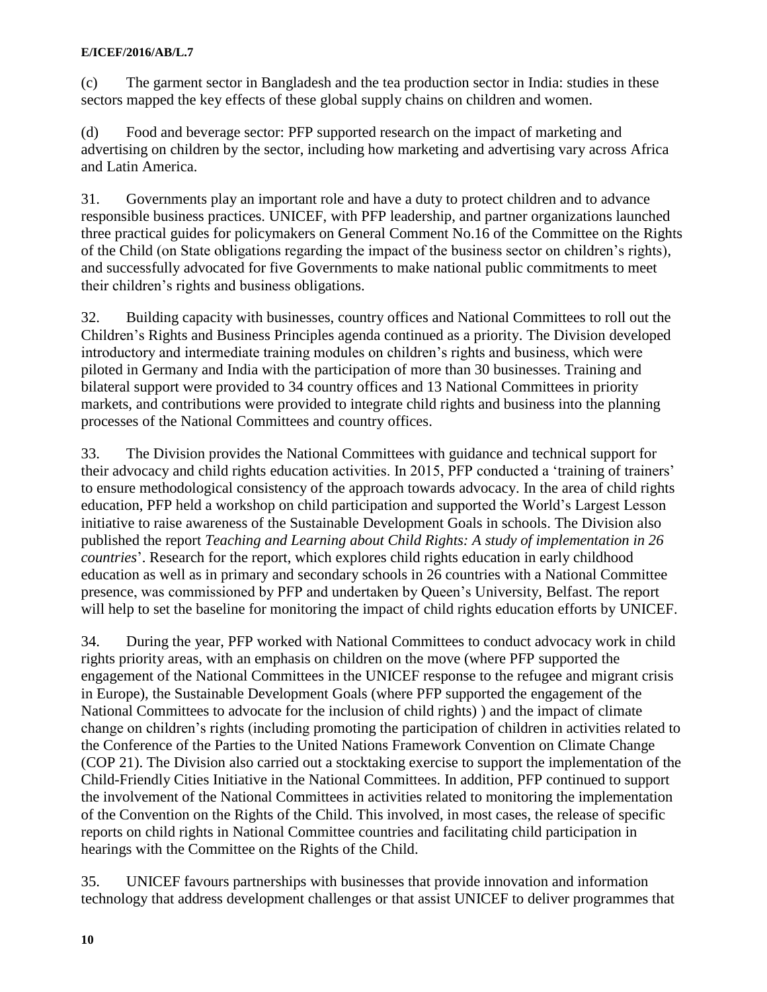(c) The garment sector in Bangladesh and the tea production sector in India: studies in these sectors mapped the key effects of these global supply chains on children and women.

(d) Food and beverage sector: PFP supported research on the impact of marketing and advertising on children by the sector, including how marketing and advertising vary across Africa and Latin America.

31. Governments play an important role and have a duty to protect children and to advance responsible business practices. UNICEF, with PFP leadership, and partner organizations launched three practical guides for policymakers on General Comment No.16 of the Committee on the Rights of the Child (on State obligations regarding the impact of the business sector on children's rights), and successfully advocated for five Governments to make national public commitments to meet their children's rights and business obligations.

32. Building capacity with businesses, country offices and National Committees to roll out the Children's Rights and Business Principles agenda continued as a priority. The Division developed introductory and intermediate training modules on children's rights and business, which were piloted in Germany and India with the participation of more than 30 businesses. Training and bilateral support were provided to 34 country offices and 13 National Committees in priority markets, and contributions were provided to integrate child rights and business into the planning processes of the National Committees and country offices.

33. The Division provides the National Committees with guidance and technical support for their advocacy and child rights education activities. In 2015, PFP conducted a 'training of trainers' to ensure methodological consistency of the approach towards advocacy. In the area of child rights education, PFP held a workshop on child participation and supported the World's Largest Lesson initiative to raise awareness of the Sustainable Development Goals in schools. The Division also published the report *Teaching and Learning about Child Rights: A study of implementation in 26 countries*'. Research for the report, which explores child rights education in early childhood education as well as in primary and secondary schools in 26 countries with a National Committee presence, was commissioned by PFP and undertaken by Queen's University, Belfast. The report will help to set the baseline for monitoring the impact of child rights education efforts by UNICEF.

34. During the year, PFP worked with National Committees to conduct advocacy work in child rights priority areas, with an emphasis on children on the move (where PFP supported the engagement of the National Committees in the UNICEF response to the refugee and migrant crisis in Europe), the Sustainable Development Goals (where PFP supported the engagement of the National Committees to advocate for the inclusion of child rights) ) and the impact of climate change on children's rights (including promoting the participation of children in activities related to the Conference of the Parties to the United Nations Framework Convention on Climate Change (COP 21). The Division also carried out a stocktaking exercise to support the implementation of the Child-Friendly Cities Initiative in the National Committees. In addition, PFP continued to support the involvement of the National Committees in activities related to monitoring the implementation of the Convention on the Rights of the Child. This involved, in most cases, the release of specific reports on child rights in National Committee countries and facilitating child participation in hearings with the Committee on the Rights of the Child.

35. UNICEF favours partnerships with businesses that provide innovation and information technology that address development challenges or that assist UNICEF to deliver programmes that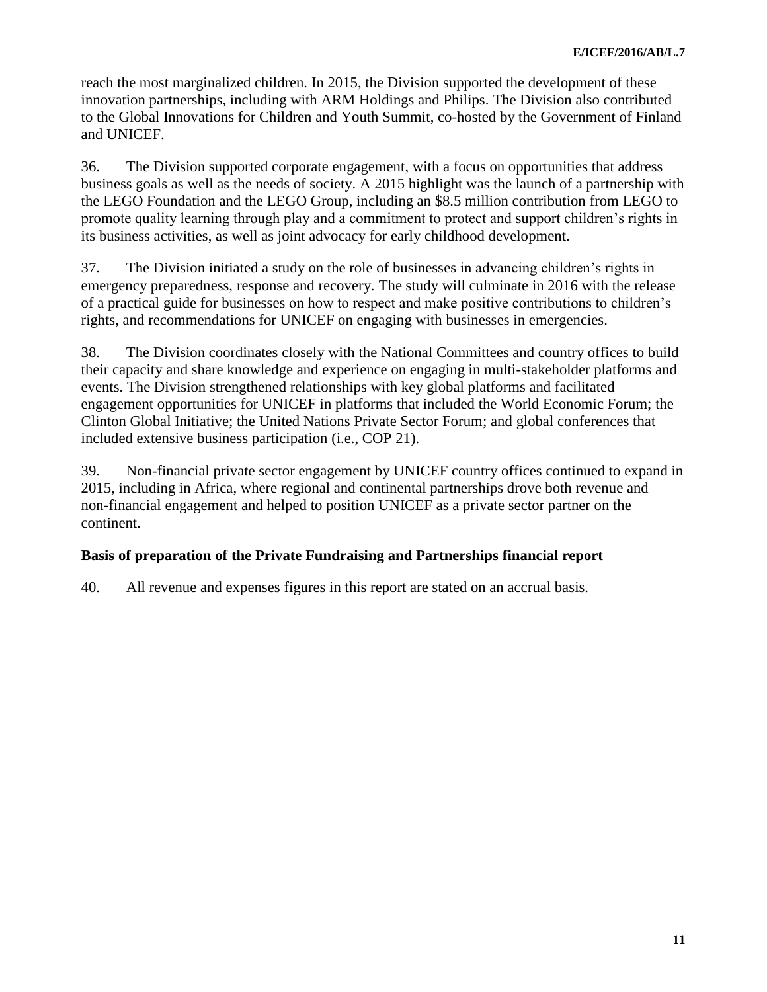reach the most marginalized children. In 2015, the Division supported the development of these innovation partnerships, including with ARM Holdings and Philips. The Division also contributed to the Global Innovations for Children and Youth Summit, co-hosted by the Government of Finland and UNICEF.

36. The Division supported corporate engagement, with a focus on opportunities that address business goals as well as the needs of society. A 2015 highlight was the launch of a partnership with the LEGO Foundation and the LEGO Group, including an \$8.5 million contribution from LEGO to promote quality learning through play and a commitment to protect and support children's rights in its business activities, as well as joint advocacy for early childhood development.

37. The Division initiated a study on the role of businesses in advancing children's rights in emergency preparedness, response and recovery. The study will culminate in 2016 with the release of a practical guide for businesses on how to respect and make positive contributions to children's rights, and recommendations for UNICEF on engaging with businesses in emergencies.

38. The Division coordinates closely with the National Committees and country offices to build their capacity and share knowledge and experience on engaging in multi-stakeholder platforms and events. The Division strengthened relationships with key global platforms and facilitated engagement opportunities for UNICEF in platforms that included the World Economic Forum; the Clinton Global Initiative; the United Nations Private Sector Forum; and global conferences that included extensive business participation (i.e., COP 21).

39. Non-financial private sector engagement by UNICEF country offices continued to expand in 2015, including in Africa, where regional and continental partnerships drove both revenue and non-financial engagement and helped to position UNICEF as a private sector partner on the continent.

# **Basis of preparation of the Private Fundraising and Partnerships financial report**

40. All revenue and expenses figures in this report are stated on an accrual basis.